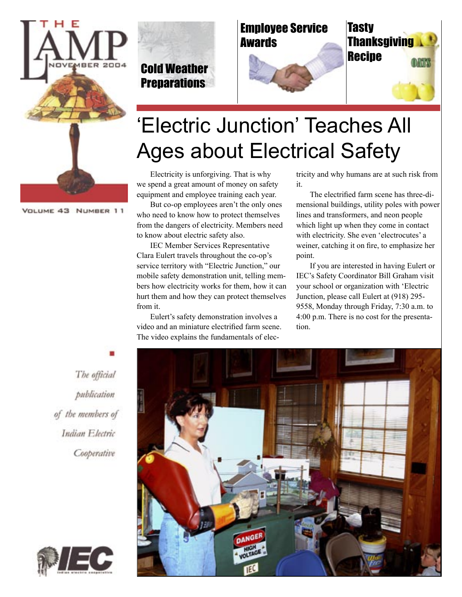

#### VOLUME 43 NUMBER 11

Cold Weather **Preparations** 







# 'Electric Junction' Teaches All Ages about Electrical Safety

Electricity is unforgiving. That is why we spend a great amount of money on safety equipment and employee training each year.

But co-op employees aren't the only ones who need to know how to protect themselves from the dangers of electricity. Members need to know about electric safety also.

IEC Member Services Representative Clara Eulert travels throughout the co-op's service territory with "Electric Junction," our mobile safety demonstration unit, telling members how electricity works for them, how it can hurt them and how they can protect themselves from it.

Eulert's safety demonstration involves a video and an miniature electrified farm scene. The video explains the fundamentals of electricity and why humans are at such risk from it.

The electrified farm scene has three-dimensional buildings, utility poles with power lines and transformers, and neon people which light up when they come in contact with electricity. She even 'electrocutes' a weiner, catching it on fire, to emphasize her point.

If you are interested in having Eulert or IEC's Safety Coordinator Bill Graham visit your school or organization with 'Electric Junction, please call Eulert at (918) 295- 9558, Monday through Friday, 7:30 a.m. to 4:00 p.m. There is no cost for the presentation.

The official publication of the members of Indian Electric Cooperative



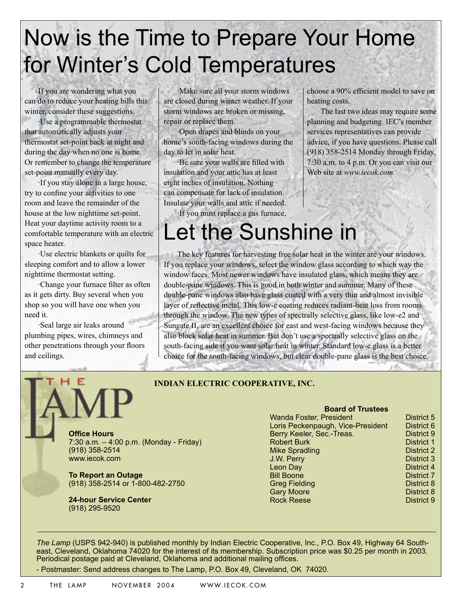# Now is the Time to Prepare Your Home for Winter's Cold Temperatures

If you are wondering what you can do to reduce your heating bills this winter, consider these suggestions.

·Use a programmable thermostat that automatically adjusts your thermostat set-point back at night and during the day when no one is home. Or remember to change the temperature set-point manually every day.

·If you stay alone in a large house, try to confine your activities to one room and leave the remainder of the house at the low nighttime set-point. Heat your daytime activity room to a comfortable temperature with an electric space heater.

·Use electric blankets or quilts for sleeping comfort and to allow a lower nighttime thermostat setting.

·Change your furnace filter as often as it gets dirty. Buy several when you shop so you will have one when you need it.

·Seal large air leaks around plumbing pipes, wires, chimneys and other penetrations through your floors and ceilings.

·Make sure all your storm windows are closed during winter weather. If your storm windows are broken or missing, repair or replace them.

·Open drapes and blinds on your home's south-facing windows during the day to let in solar heat.

·Be sure your walls are filled with insulation and your attic has at least eight inches of insulation. Nothing can compensate for lack of insulation. Insulate your walls and attic if needed.

·If you must replace a gas furnace,

choose a 90% efficient model to save on heating costs.

The last two ideas may require some planning and budgeting. IEC's member services representatives can provide advice, if you have questions. Please call (918) 358-2514 Monday through Friday, 7:30 a.m. to 4 p.m. Or you can visit our Web site at *www.iecok.com.*

### Let the Sunshine in The key features for harvesting free solar heat in the winter are your windows. If you replace your windows, select the window glass according to which way the window faces. Most newer windows have insulated glass, which means they are double-pane windows. This is good in both winter and summer. Many of these double-pane windows also have glass coated with a very thin and almost invisible layer of reflective metal. This low-e coating reduces radiant-heat loss from rooms

through the window. The new types of spectrally selective glass, like low-e2 and Sungate II, are an excellent choice for east and west-facing windows because they also block solar heat in summer. But don't use a spectrally selective glass on the south-facing side if you want solar heat in winter. Standard low-e glass is a better choice for the south-facing windows, but clear double-pane glass is the best choice.

#### **INDIAN ELECTRIC COOPERATIVE, INC.**

**Office Hours** 7:30 a.m. – 4:00 p.m. (Monday - Friday) (918) 358-2514 www.iecok.com

**To Report an Outage** (918) 358-2514 or 1-800-482-2750

**24-hour Service Center**  (918) 295-9520

### **Board of Trustees**

| vvanda Foster, President          |
|-----------------------------------|
| Loris Peckenpaugh, Vice-President |
| Berry Keeler, Sec.-Treas.         |
| <b>Robert Burk</b>                |
| <b>Mike Spradling</b>             |
| J.W. Perry                        |
| Leon Day                          |
| <b>Bill Boone</b>                 |
| <b>Greg Fielding</b>              |
| <b>Gary Moore</b>                 |
| Rock Reese                        |

District 5 District 6 **District 9** District 1 District 2 District 3 District 4 **District 7** District 8 District 8 District 9

*The Lamp* (USPS 942-940) is published monthly by Indian Electric Cooperative, Inc., P.O. Box 49, Highway 64 Southeast, Cleveland, Oklahoma 74020 for the interest of its membership. Subscription price was \$0.25 per month in 2003. Periodical postage paid at Cleveland, Oklahoma and additional mailing offices.

- Postmaster: Send address changes to The Lamp, P.O. Box 49, Cleveland, OK 74020.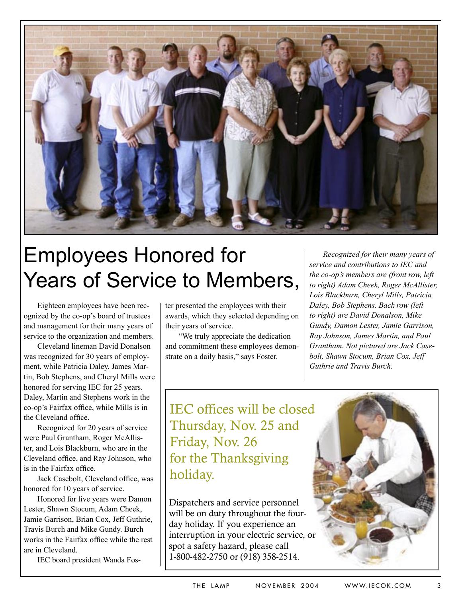

# Employees Honored for Years of Service to Members,

Eighteen employees have been recognized by the co-op's board of trustees and management for their many years of service to the organization and members.

Cleveland lineman David Donalson was recognized for 30 years of employment, while Patricia Daley, James Martin, Bob Stephens, and Cheryl Mills were honored for serving IEC for 25 years. Daley, Martin and Stephens work in the co-op's Fairfax office, while Mills is in the Cleveland office.

Recognized for 20 years of service were Paul Grantham, Roger McAllister, and Lois Blackburn, who are in the Cleveland office, and Ray Johnson, who is in the Fairfax office.

Jack Casebolt, Cleveland office, was honored for 10 years of service.

Honored for five years were Damon Lester, Shawn Stocum, Adam Cheek, Jamie Garrison, Brian Cox, Jeff Guthrie, Travis Burch and Mike Gundy. Burch works in the Fairfax office while the rest are in Cleveland.

IEC board president Wanda Fos-

ter presented the employees with their awards, which they selected depending on their years of service.

"We truly appreciate the dedication and commitment these employees demonstrate on a daily basis," says Foster.

*Recognized for their many years of service and contributions to IEC and the co-op's members are (front row, left to right) Adam Cheek, Roger McAllister, Lois Blackburn, Cheryl Mills, Patricia Daley, Bob Stephens. Back row (left to right) are David Donalson, Mike Gundy, Damon Lester, Jamie Garrison, Ray Johnson, James Martin, and Paul Grantham. Not pictured are Jack Casebolt, Shawn Stocum, Brian Cox, Jeff Guthrie and Travis Burch.*

IEC offices will be closed Thursday, Nov. 25 and Friday, Nov. 26 for the Thanksgiving holiday.

Dispatchers and service personnel will be on duty throughout the fourday holiday. If you experience an interruption in your electric service, or spot a safety hazard, please call 1-800-482-2750 or (918) 358-2514.